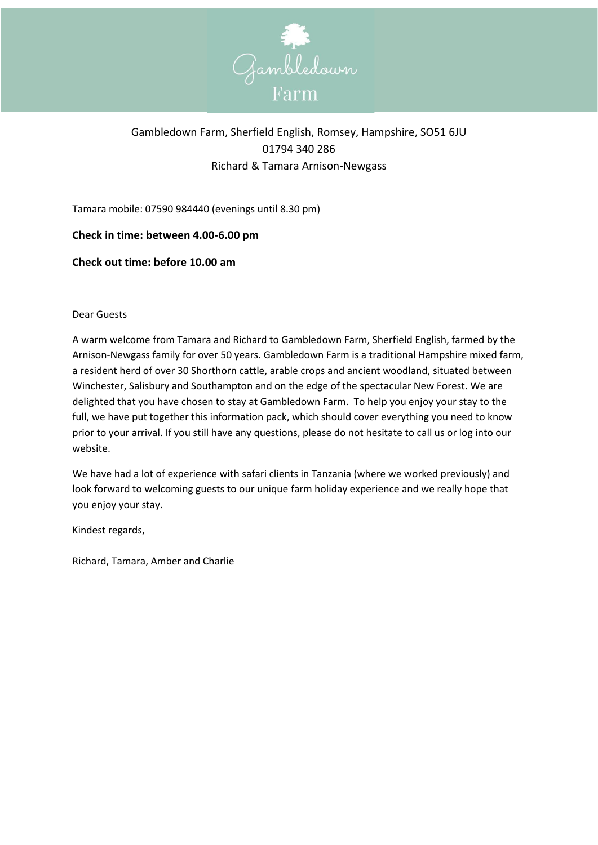

# Gambledown Farm, Sherfield English, Romsey, Hampshire, SO51 6JU 01794 340 286 Richard & Tamara Arnison-Newgass

Tamara mobile: 07590 984440 (evenings until 8.30 pm)

# **Check in time: between 4.00-6.00 pm**

# **Check out time: before 10.00 am**

#### Dear Guests

A warm welcome from Tamara and Richard to Gambledown Farm, Sherfield English, farmed by the Arnison-Newgass family for over 50 years. Gambledown Farm is a traditional Hampshire mixed farm, a resident herd of over 30 Shorthorn cattle, arable crops and ancient woodland, situated between Winchester, Salisbury and Southampton and on the edge of the spectacular New Forest. We are delighted that you have chosen to stay at Gambledown Farm. To help you enjoy your stay to the full, we have put together this information pack, which should cover everything you need to know prior to your arrival. If you still have any questions, please do not hesitate to call us or log into our website.

We have had a lot of experience with safari clients in Tanzania (where we worked previously) and look forward to welcoming guests to our unique farm holiday experience and we really hope that you enjoy your stay.

Kindest regards,

Richard, Tamara, Amber and Charlie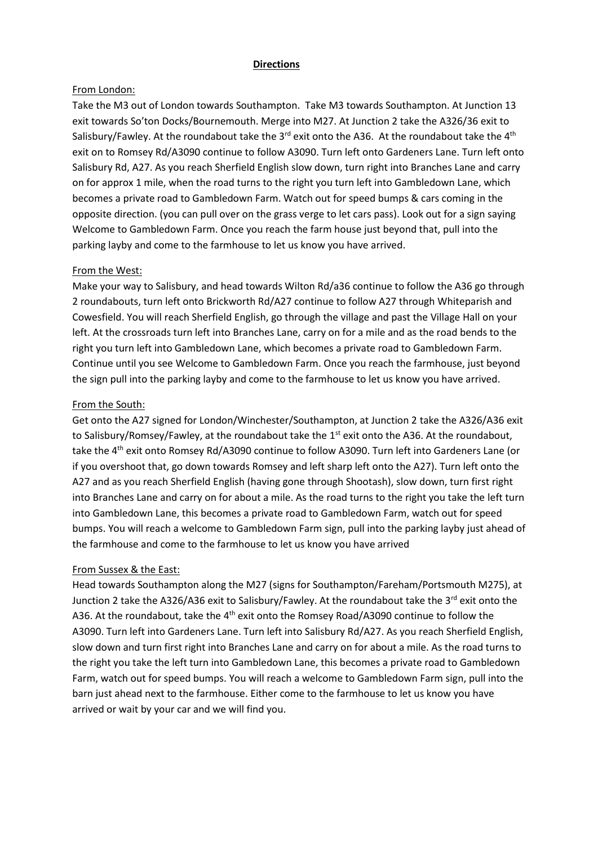#### **Directions**

#### From London:

Take the M3 out of London towards Southampton. Take M3 towards Southampton. At Junction 13 exit towards So'ton Docks/Bournemouth. Merge into M27. At Junction 2 take the A326/36 exit to Salisbury/Fawley. At the roundabout take the 3 $^{rd}$  exit onto the A36. At the roundabout take the 4<sup>th</sup> exit on to Romsey Rd/A3090 continue to follow A3090. Turn left onto Gardeners Lane. Turn left onto Salisbury Rd, A27. As you reach Sherfield English slow down, turn right into Branches Lane and carry on for approx 1 mile, when the road turns to the right you turn left into Gambledown Lane, which becomes a private road to Gambledown Farm. Watch out for speed bumps & cars coming in the opposite direction. (you can pull over on the grass verge to let cars pass). Look out for a sign saying Welcome to Gambledown Farm. Once you reach the farm house just beyond that, pull into the parking layby and come to the farmhouse to let us know you have arrived.

#### From the West:

Make your way to Salisbury, and head towards Wilton Rd/a36 continue to follow the A36 go through 2 roundabouts, turn left onto Brickworth Rd/A27 continue to follow A27 through Whiteparish and Cowesfield. You will reach Sherfield English, go through the village and past the Village Hall on your left. At the crossroads turn left into Branches Lane, carry on for a mile and as the road bends to the right you turn left into Gambledown Lane, which becomes a private road to Gambledown Farm. Continue until you see Welcome to Gambledown Farm. Once you reach the farmhouse, just beyond the sign pull into the parking layby and come to the farmhouse to let us know you have arrived.

#### From the South:

Get onto the A27 signed for London/Winchester/Southampton, at Junction 2 take the A326/A36 exit to Salisbury/Romsey/Fawley, at the roundabout take the  $1<sup>st</sup>$  exit onto the A36. At the roundabout, take the 4<sup>th</sup> exit onto Romsey Rd/A3090 continue to follow A3090. Turn left into Gardeners Lane (or if you overshoot that, go down towards Romsey and left sharp left onto the A27). Turn left onto the A27 and as you reach Sherfield English (having gone through Shootash), slow down, turn first right into Branches Lane and carry on for about a mile. As the road turns to the right you take the left turn into Gambledown Lane, this becomes a private road to Gambledown Farm, watch out for speed bumps. You will reach a welcome to Gambledown Farm sign, pull into the parking layby just ahead of the farmhouse and come to the farmhouse to let us know you have arrived

#### From Sussex & the East:

Head towards Southampton along the M27 (signs for Southampton/Fareham/Portsmouth M275), at Junction 2 take the A326/A36 exit to Salisbury/Fawley. At the roundabout take the 3<sup>rd</sup> exit onto the A36. At the roundabout, take the 4<sup>th</sup> exit onto the Romsey Road/A3090 continue to follow the A3090. Turn left into Gardeners Lane. Turn left into Salisbury Rd/A27. As you reach Sherfield English, slow down and turn first right into Branches Lane and carry on for about a mile. As the road turns to the right you take the left turn into Gambledown Lane, this becomes a private road to Gambledown Farm, watch out for speed bumps. You will reach a welcome to Gambledown Farm sign, pull into the barn just ahead next to the farmhouse. Either come to the farmhouse to let us know you have arrived or wait by your car and we will find you.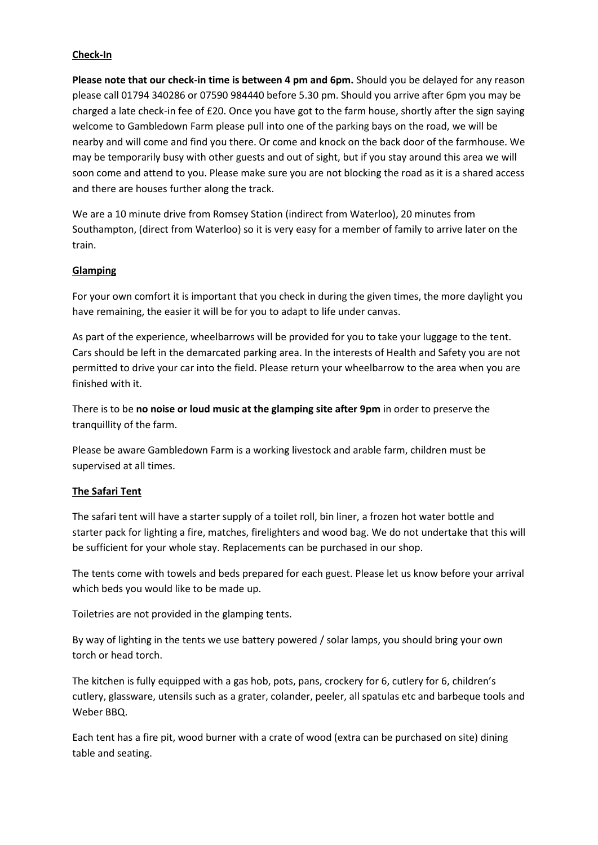## **Check-In**

**Please note that our check-in time is between 4 pm and 6pm.** Should you be delayed for any reason please call 01794 340286 or 07590 984440 before 5.30 pm. Should you arrive after 6pm you may be charged a late check-in fee of £20. Once you have got to the farm house, shortly after the sign saying welcome to Gambledown Farm please pull into one of the parking bays on the road, we will be nearby and will come and find you there. Or come and knock on the back door of the farmhouse. We may be temporarily busy with other guests and out of sight, but if you stay around this area we will soon come and attend to you. Please make sure you are not blocking the road as it is a shared access and there are houses further along the track.

We are a 10 minute drive from Romsey Station (indirect from Waterloo), 20 minutes from Southampton, (direct from Waterloo) so it is very easy for a member of family to arrive later on the train.

#### **Glamping**

For your own comfort it is important that you check in during the given times, the more daylight you have remaining, the easier it will be for you to adapt to life under canvas.

As part of the experience, wheelbarrows will be provided for you to take your luggage to the tent. Cars should be left in the demarcated parking area. In the interests of Health and Safety you are not permitted to drive your car into the field. Please return your wheelbarrow to the area when you are finished with it.

There is to be **no noise or loud music at the glamping site after 9pm** in order to preserve the tranquillity of the farm.

Please be aware Gambledown Farm is a working livestock and arable farm, children must be supervised at all times.

# **The Safari Tent**

The safari tent will have a starter supply of a toilet roll, bin liner, a frozen hot water bottle and starter pack for lighting a fire, matches, firelighters and wood bag. We do not undertake that this will be sufficient for your whole stay. Replacements can be purchased in our shop.

The tents come with towels and beds prepared for each guest. Please let us know before your arrival which beds you would like to be made up.

Toiletries are not provided in the glamping tents.

By way of lighting in the tents we use battery powered / solar lamps, you should bring your own torch or head torch.

The kitchen is fully equipped with a gas hob, pots, pans, crockery for 6, cutlery for 6, children's cutlery, glassware, utensils such as a grater, colander, peeler, all spatulas etc and barbeque tools and Weber BBQ.

Each tent has a fire pit, wood burner with a crate of wood (extra can be purchased on site) dining table and seating.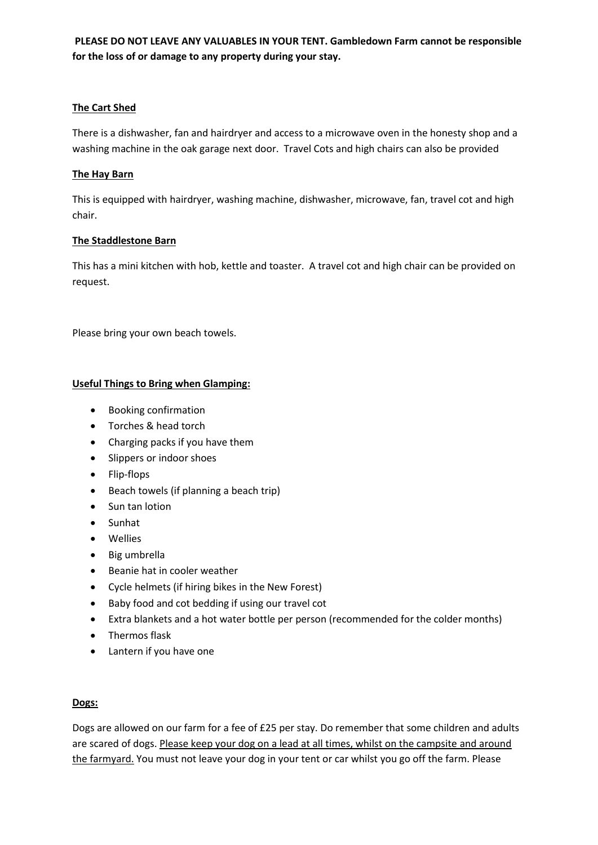# **PLEASE DO NOT LEAVE ANY VALUABLES IN YOUR TENT. Gambledown Farm cannot be responsible for the loss of or damage to any property during your stay.**

## **The Cart Shed**

There is a dishwasher, fan and hairdryer and access to a microwave oven in the honesty shop and a washing machine in the oak garage next door. Travel Cots and high chairs can also be provided

#### **The Hay Barn**

This is equipped with hairdryer, washing machine, dishwasher, microwave, fan, travel cot and high chair.

#### **The Staddlestone Barn**

This has a mini kitchen with hob, kettle and toaster. A travel cot and high chair can be provided on request.

Please bring your own beach towels.

# **Useful Things to Bring when Glamping:**

- Booking confirmation
- Torches & head torch
- Charging packs if you have them
- Slippers or indoor shoes
- Flip-flops
- Beach towels (if planning a beach trip)
- Sun tan lotion
- Sunhat
- Wellies
- Big umbrella
- Beanie hat in cooler weather
- Cycle helmets (if hiring bikes in the New Forest)
- Baby food and cot bedding if using our travel cot
- Extra blankets and a hot water bottle per person (recommended for the colder months)
- Thermos flask
- Lantern if you have one

# **Dogs:**

Dogs are allowed on our farm for a fee of £25 per stay. Do remember that some children and adults are scared of dogs. Please keep your dog on a lead at all times, whilst on the campsite and around the farmyard. You must not leave your dog in your tent or car whilst you go off the farm. Please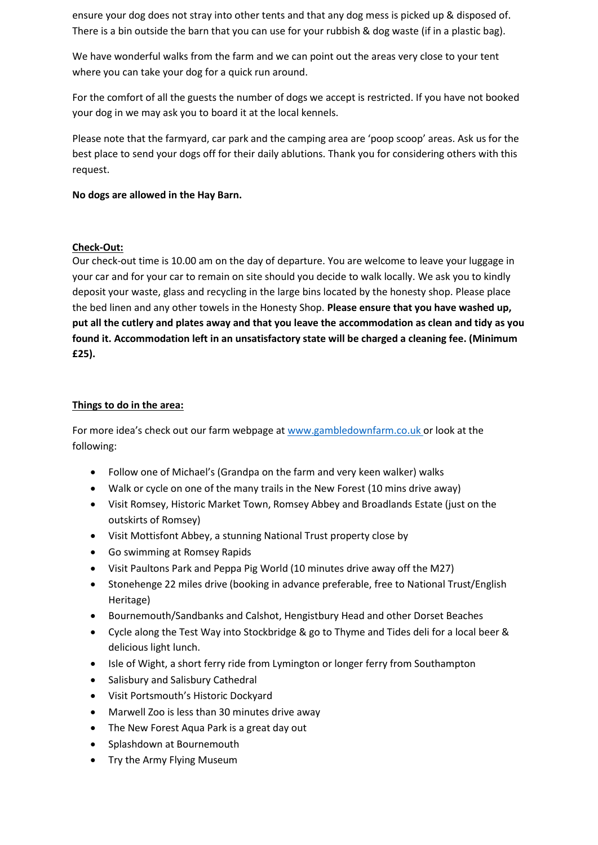ensure your dog does not stray into other tents and that any dog mess is picked up & disposed of. There is a bin outside the barn that you can use for your rubbish & dog waste (if in a plastic bag).

We have wonderful walks from the farm and we can point out the areas very close to your tent where you can take your dog for a quick run around.

For the comfort of all the guests the number of dogs we accept is restricted. If you have not booked your dog in we may ask you to board it at the local kennels.

Please note that the farmyard, car park and the camping area are 'poop scoop' areas. Ask us for the best place to send your dogs off for their daily ablutions. Thank you for considering others with this request.

**No dogs are allowed in the Hay Barn.**

# **Check-Out:**

Our check-out time is 10.00 am on the day of departure. You are welcome to leave your luggage in your car and for your car to remain on site should you decide to walk locally. We ask you to kindly deposit your waste, glass and recycling in the large bins located by the honesty shop. Please place the bed linen and any other towels in the Honesty Shop. **Please ensure that you have washed up, put all the cutlery and plates away and that you leave the accommodation as clean and tidy as you found it. Accommodation left in an unsatisfactory state will be charged a cleaning fee. (Minimum £25).**

# **Things to do in the area:**

For more idea's check out our farm webpage at www.gambledownfarm.co.uk or look at the following:

- Follow one of Michael's (Grandpa on the farm and very keen walker) walks
- Walk or cycle on one of the many trails in the New Forest (10 mins drive away)
- Visit Romsey, Historic Market Town, Romsey Abbey and Broadlands Estate (just on the outskirts of Romsey)
- Visit Mottisfont Abbey, a stunning National Trust property close by
- Go swimming at Romsey Rapids
- Visit Paultons Park and Peppa Pig World (10 minutes drive away off the M27)
- Stonehenge 22 miles drive (booking in advance preferable, free to National Trust/English Heritage)
- Bournemouth/Sandbanks and Calshot, Hengistbury Head and other Dorset Beaches
- Cycle along the Test Way into Stockbridge & go to Thyme and Tides deli for a local beer & delicious light lunch.
- Isle of Wight, a short ferry ride from Lymington or longer ferry from Southampton
- Salisbury and Salisbury Cathedral
- Visit Portsmouth's Historic Dockyard
- Marwell Zoo is less than 30 minutes drive away
- The New Forest Aqua Park is a great day out
- Splashdown at Bournemouth
- Try the Army Flying Museum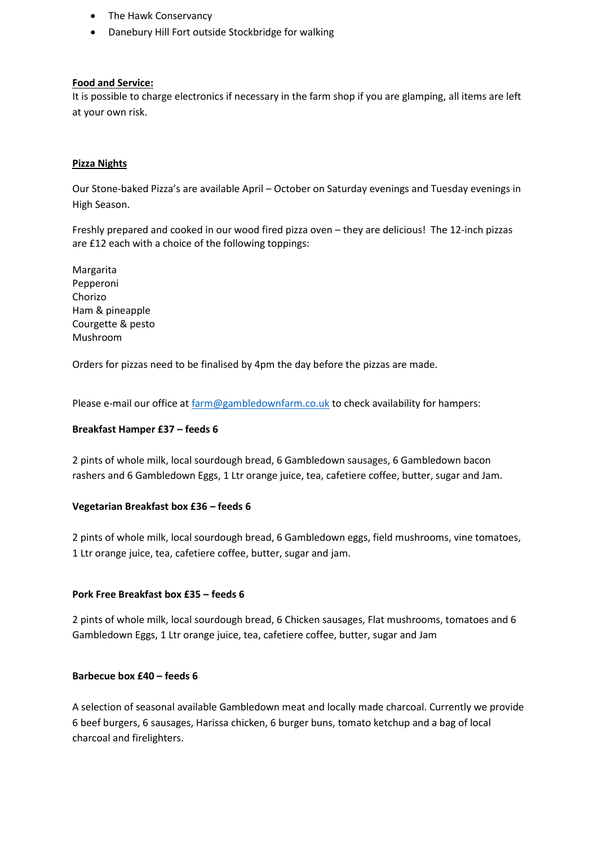- The Hawk Conservancy
- Danebury Hill Fort outside Stockbridge for walking

#### **Food and Service:**

It is possible to charge electronics if necessary in the farm shop if you are glamping, all items are left at your own risk.

## **Pizza Nights**

Our Stone-baked Pizza's are available April – October on Saturday evenings and Tuesday evenings in High Season.

Freshly prepared and cooked in our wood fired pizza oven – they are delicious! The 12-inch pizzas are £12 each with a choice of the following toppings:

Margarita Pepperoni Chorizo Ham & pineapple Courgette & pesto Mushroom

Orders for pizzas need to be finalised by 4pm the day before the pizzas are made.

Please e-mail our office a[t farm@gambledownfarm.co.uk](mailto:farm@gambledownfarm.co.uk) to check availability for hampers:

#### **Breakfast Hamper £37 – feeds 6**

2 pints of whole milk, local sourdough bread, 6 Gambledown sausages, 6 Gambledown bacon rashers and 6 Gambledown Eggs, 1 Ltr orange juice, tea, cafetiere coffee, butter, sugar and Jam.

#### **Vegetarian Breakfast box £36 – feeds 6**

2 pints of whole milk, local sourdough bread, 6 Gambledown eggs, field mushrooms, vine tomatoes, 1 Ltr orange juice, tea, cafetiere coffee, butter, sugar and jam.

#### **Pork Free Breakfast box £35 – feeds 6**

2 pints of whole milk, local sourdough bread, 6 Chicken sausages, Flat mushrooms, tomatoes and 6 Gambledown Eggs, 1 Ltr orange juice, tea, cafetiere coffee, butter, sugar and Jam

#### **Barbecue box £40 – feeds 6**

A selection of seasonal available Gambledown meat and locally made charcoal. Currently we provide 6 beef burgers, 6 sausages, Harissa chicken, 6 burger buns, tomato ketchup and a bag of local charcoal and firelighters.